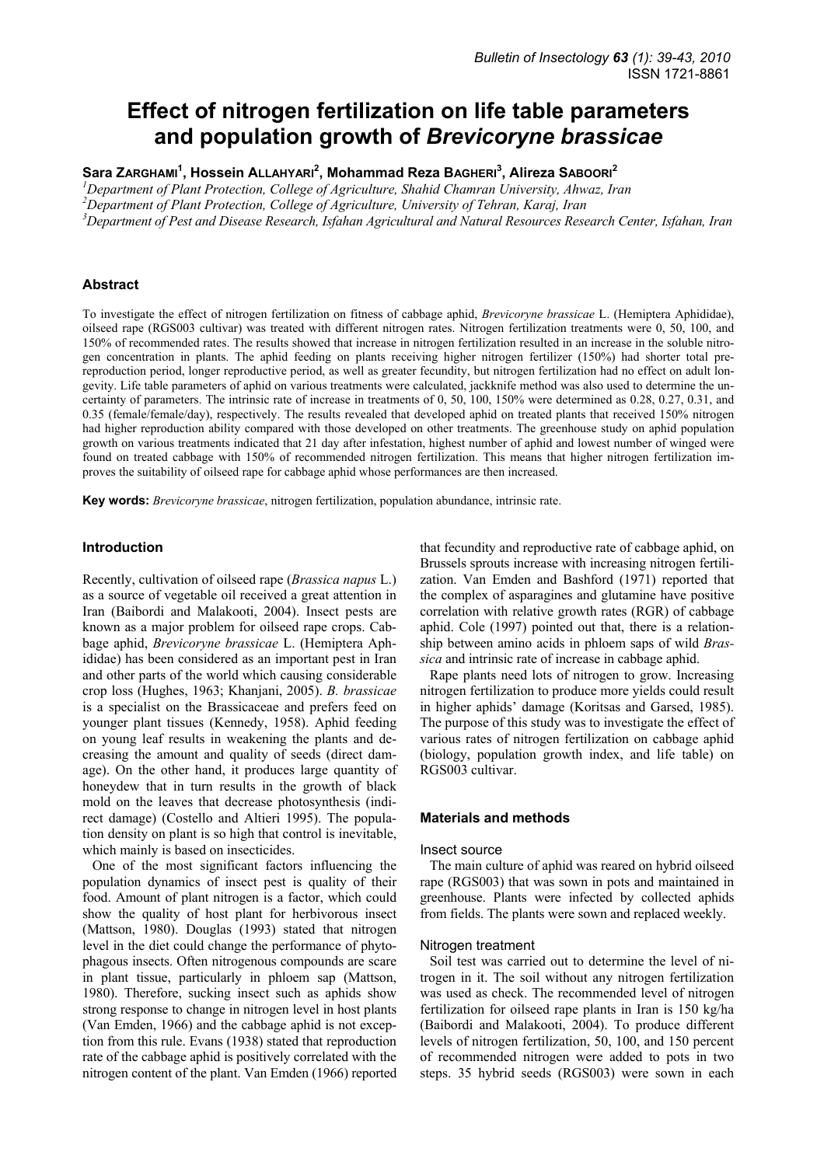# **Effect of nitrogen fertilization on life table parameters and population growth of** *Brevicoryne brassicae*

# **Sara ZARGHAMI<sup>1</sup> , Hossein ALLAHYARI<sup>2</sup> , Mohammad Reza BAGHERI<sup>3</sup> , Alireza SABOORI<sup>2</sup>**

<sup>1</sup>Department of Plant Protection, College of Agriculture, Shahid Chamran University, Ahwaz, Iran

<sup>2</sup> Department of Plant Protection, College of Agriculture, University of Tehran, Karaj, Iran <sup>3</sup> Department of Past and Disease Research Islam Agricultural and Natural Research Pess

*Department of Pest and Disease Research, Isfahan Agricultural and Natural Resources Research Center, Isfahan, Iran* 

# **Abstract**

To investigate the effect of nitrogen fertilization on fitness of cabbage aphid, *Brevicoryne brassicae* L. (Hemiptera Aphididae), oilseed rape (RGS003 cultivar) was treated with different nitrogen rates. Nitrogen fertilization treatments were 0, 50, 100, and 150% of recommended rates. The results showed that increase in nitrogen fertilization resulted in an increase in the soluble nitrogen concentration in plants. The aphid feeding on plants receiving higher nitrogen fertilizer (150%) had shorter total prereproduction period, longer reproductive period, as well as greater fecundity, but nitrogen fertilization had no effect on adult longevity. Life table parameters of aphid on various treatments were calculated, jackknife method was also used to determine the uncertainty of parameters. The intrinsic rate of increase in treatments of 0, 50, 100, 150% were determined as 0.28, 0.27, 0.31, and 0.35 (female/female/day), respectively. The results revealed that developed aphid on treated plants that received 150% nitrogen had higher reproduction ability compared with those developed on other treatments. The greenhouse study on aphid population growth on various treatments indicated that 21 day after infestation, highest number of aphid and lowest number of winged were found on treated cabbage with 150% of recommended nitrogen fertilization. This means that higher nitrogen fertilization improves the suitability of oilseed rape for cabbage aphid whose performances are then increased.

**Key words:** *Brevicoryne brassicae*, nitrogen fertilization, population abundance, intrinsic rate.

#### **Introduction**

Recently, cultivation of oilseed rape (*Brassica napus* L.) as a source of vegetable oil received a great attention in Iran (Baibordi and Malakooti, 2004). Insect pests are known as a major problem for oilseed rape crops. Cabbage aphid, *Brevicoryne brassicae* L. (Hemiptera Aphididae) has been considered as an important pest in Iran and other parts of the world which causing considerable crop loss (Hughes, 1963; Khanjani, 2005). *B. brassicae* is a specialist on the Brassicaceae and prefers feed on younger plant tissues (Kennedy, 1958). Aphid feeding on young leaf results in weakening the plants and decreasing the amount and quality of seeds (direct damage). On the other hand, it produces large quantity of honeydew that in turn results in the growth of black mold on the leaves that decrease photosynthesis (indirect damage) (Costello and Altieri 1995). The population density on plant is so high that control is inevitable, which mainly is based on insecticides.

One of the most significant factors influencing the population dynamics of insect pest is quality of their food. Amount of plant nitrogen is a factor, which could show the quality of host plant for herbivorous insect (Mattson, 1980). Douglas (1993) stated that nitrogen level in the diet could change the performance of phytophagous insects. Often nitrogenous compounds are scare in plant tissue, particularly in phloem sap (Mattson, 1980). Therefore, sucking insect such as aphids show strong response to change in nitrogen level in host plants (Van Emden, 1966) and the cabbage aphid is not exception from this rule. Evans (1938) stated that reproduction rate of the cabbage aphid is positively correlated with the nitrogen content of the plant. Van Emden (1966) reported

that fecundity and reproductive rate of cabbage aphid, on Brussels sprouts increase with increasing nitrogen fertilization. Van Emden and Bashford (1971) reported that the complex of asparagines and glutamine have positive correlation with relative growth rates (RGR) of cabbage aphid. Cole (1997) pointed out that, there is a relationship between amino acids in phloem saps of wild *Brassica* and intrinsic rate of increase in cabbage aphid.

Rape plants need lots of nitrogen to grow. Increasing nitrogen fertilization to produce more yields could result in higher aphids' damage (Koritsas and Garsed, 1985). The purpose of this study was to investigate the effect of various rates of nitrogen fertilization on cabbage aphid (biology, population growth index, and life table) on RGS003 cultivar.

#### **Materials and methods**

#### Insect source

The main culture of aphid was reared on hybrid oilseed rape (RGS003) that was sown in pots and maintained in greenhouse. Plants were infected by collected aphids from fields. The plants were sown and replaced weekly.

#### Nitrogen treatment

Soil test was carried out to determine the level of nitrogen in it. The soil without any nitrogen fertilization was used as check. The recommended level of nitrogen fertilization for oilseed rape plants in Iran is 150 kg/ha (Baibordi and Malakooti, 2004). To produce different levels of nitrogen fertilization, 50, 100, and 150 percent of recommended nitrogen were added to pots in two steps. 35 hybrid seeds (RGS003) were sown in each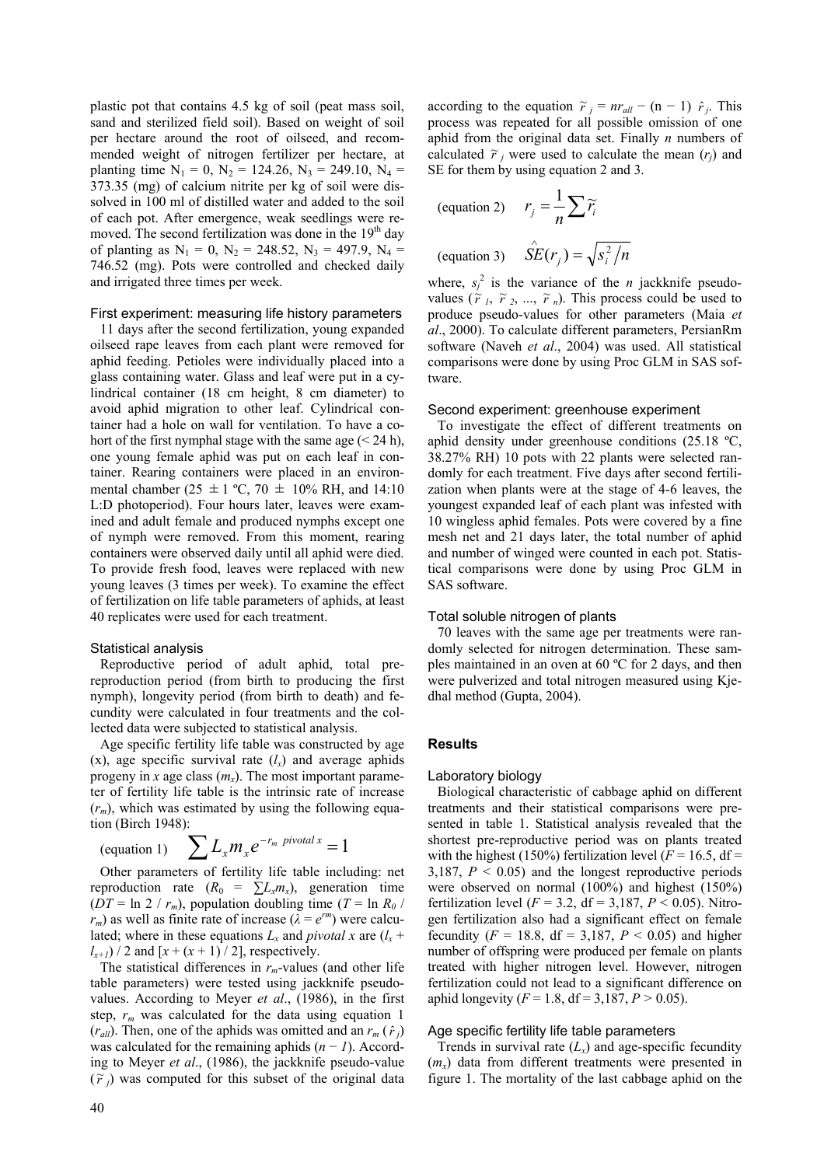plastic pot that contains 4.5 kg of soil (peat mass soil, sand and sterilized field soil). Based on weight of soil per hectare around the root of oilseed, and recommended weight of nitrogen fertilizer per hectare, at planting time  $N_1 = 0$ ,  $N_2 = 124.26$ ,  $N_3 = 249.10$ ,  $N_4 =$ 373.35 (mg) of calcium nitrite per kg of soil were dissolved in 100 ml of distilled water and added to the soil of each pot. After emergence, weak seedlings were removed. The second fertilization was done in the 19<sup>th</sup> day of planting as  $N_1 = 0$ ,  $N_2 = 248.52$ ,  $N_3 = 497.9$ ,  $N_4 =$ 746.52 (mg). Pots were controlled and checked daily and irrigated three times per week.

# First experiment: measuring life history parameters

11 days after the second fertilization, young expanded oilseed rape leaves from each plant were removed for aphid feeding. Petioles were individually placed into a glass containing water. Glass and leaf were put in a cylindrical container (18 cm height, 8 cm diameter) to avoid aphid migration to other leaf. Cylindrical container had a hole on wall for ventilation. To have a cohort of the first nymphal stage with the same age  $(< 24$  h), one young female aphid was put on each leaf in container. Rearing containers were placed in an environmental chamber (25  $\pm$  1 °C, 70  $\pm$  10% RH, and 14:10 L:D photoperiod). Four hours later, leaves were examined and adult female and produced nymphs except one of nymph were removed. From this moment, rearing containers were observed daily until all aphid were died. To provide fresh food, leaves were replaced with new young leaves (3 times per week). To examine the effect of fertilization on life table parameters of aphids, at least 40 replicates were used for each treatment.

# Statistical analysis

Reproductive period of adult aphid, total prereproduction period (from birth to producing the first nymph), longevity period (from birth to death) and fecundity were calculated in four treatments and the collected data were subjected to statistical analysis.

Age specific fertility life table was constructed by age  $(x)$ , age specific survival rate  $(l_x)$  and average aphids progeny in *x* age class  $(m_x)$ . The most important parameter of fertility life table is the intrinsic rate of increase  $(r_m)$ , which was estimated by using the following equation (Birch 1948):

(equation 1) 
$$
\sum L_x m_x e^{-r_m \text{ pivotal } x} = 1
$$

Other parameters of fertility life table including: net reproduction rate  $(R_0 = \sum L_x m_x)$ , generation time ( $DT = \ln 2 / r_m$ ), population doubling time ( $T = \ln R_0 /$  $r_m$ ) as well as finite rate of increase ( $\lambda = e^{rm}$ ) were calculated; where in these equations  $L_x$  and *pivotal* x are  $(l_x +$  $l_{x+1}$ ) / 2 and  $[x + (x + 1) / 2]$ , respectively.

The statistical differences in  $r_m$ -values (and other life table parameters) were tested using jackknife pseudovalues. According to Meyer *et al*., (1986), in the first step,  $r_m$  was calculated for the data using equation 1  $(r_{all})$ . Then, one of the aphids was omitted and an  $r_m(\hat{r}_i)$ was calculated for the remaining aphids (*n* − *1*). According to Meyer *et al*., (1986), the jackknife pseudo-value  $(\widetilde{r}_j)$  was computed for this subset of the original data

according to the equation  $\tilde{r}_j = nr_{all} - (n-1) \hat{r}_j$ . This process was repeated for all possible omission of one aphid from the original data set. Finally *n* numbers of calculated  $\tilde{r}_j$  were used to calculate the mean  $(r_j)$  and SE for them by using equation 2 and 3.

(equation 2) 
$$
r_j = \frac{1}{n} \sum \widetilde{r_i}
$$
  
(equation 3)  $\hat{SE}(r_j) = \sqrt{s_i^2/n}$ 

where,  $s_j^2$  is the variance of the *n* jackknife pseudovalues  $(\tilde{r}_1, \tilde{r}_2, ..., \tilde{r}_n)$ . This process could be used to produce pseudo-values for other parameters (Maia *et al*., 2000). To calculate different parameters, PersianRm software (Naveh *et al*., 2004) was used. All statistical comparisons were done by using Proc GLM in SAS software.

## Second experiment: greenhouse experiment

To investigate the effect of different treatments on aphid density under greenhouse conditions (25.18 ºC, 38.27% RH) 10 pots with 22 plants were selected randomly for each treatment. Five days after second fertilization when plants were at the stage of 4-6 leaves, the youngest expanded leaf of each plant was infested with 10 wingless aphid females. Pots were covered by a fine mesh net and 21 days later, the total number of aphid and number of winged were counted in each pot. Statistical comparisons were done by using Proc GLM in SAS software.

## Total soluble nitrogen of plants

70 leaves with the same age per treatments were randomly selected for nitrogen determination. These samples maintained in an oven at 60 ºC for 2 days, and then were pulverized and total nitrogen measured using Kjedhal method (Gupta, 2004).

## **Results**

## Laboratory biology

Biological characteristic of cabbage aphid on different treatments and their statistical comparisons were presented in table 1. Statistical analysis revealed that the shortest pre-reproductive period was on plants treated with the highest (150%) fertilization level  $(F = 16.5, df =$ 3,187,  $P < 0.05$ ) and the longest reproductive periods were observed on normal (100%) and highest (150%) fertilization level ( $F = 3.2$ , df = 3,187,  $P < 0.05$ ). Nitrogen fertilization also had a significant effect on female fecundity ( $F = 18.8$ , df = 3,187,  $P < 0.05$ ) and higher number of offspring were produced per female on plants treated with higher nitrogen level. However, nitrogen fertilization could not lead to a significant difference on aphid longevity ( $F = 1.8$ , df = 3,187,  $P > 0.05$ ).

## Age specific fertility life table parameters

Trends in survival rate  $(L<sub>x</sub>)$  and age-specific fecundity (*mx*) data from different treatments were presented in figure 1. The mortality of the last cabbage aphid on the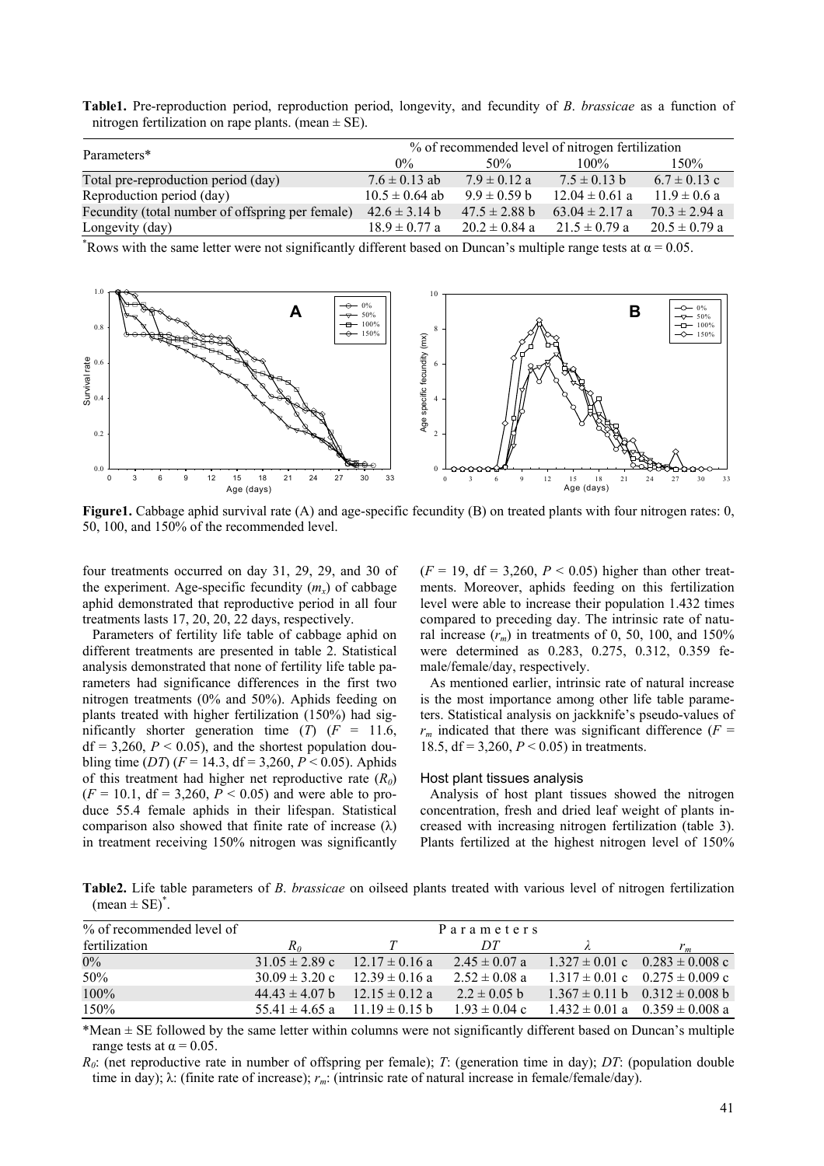**Table1.** Pre-reproduction period, reproduction period, longevity, and fecundity of *B*. *brassicae* as a function of nitrogen fertilization on rape plants. (mean  $\pm$  SE).

| Parameters*                                      | % of recommended level of nitrogen fertilization |                   |                    |                   |  |
|--------------------------------------------------|--------------------------------------------------|-------------------|--------------------|-------------------|--|
|                                                  | $0\%$                                            | 50%               | $100\%$            | 150%              |  |
| Total pre-reproduction period (day)              | $7.6 \pm 0.13$ ab                                | $7.9 \pm 0.12$ a  | $7.5 \pm 0.13$ b   | $6.7 \pm 0.13$ c  |  |
| Reproduction period (day)                        | $10.5 \pm 0.64$ ab                               | $9.9 \pm 0.59$ b  | $12.04 \pm 0.61$ a | $11.9 \pm 0.6$ a  |  |
| Fecundity (total number of offspring per female) | $42.6 \pm 3.14 b$                                | $47.5 \pm 2.88$ b | $63.04 \pm 2.17$ a | $70.3 \pm 2.94$ a |  |
| Longevity (day)                                  | $18.9 \pm 0.77$ a                                | $20.2 \pm 0.84$ a | $21.5 \pm 0.79$ a  | $20.5 \pm 0.79$ a |  |

<sup>\*</sup>Rows with the same letter were not significantly different based on Duncan's multiple range tests at  $α = 0.05$ .



**Figure1.** Cabbage aphid survival rate (A) and age-specific fecundity (B) on treated plants with four nitrogen rates: 0, 50, 100, and 150% of the recommended level.

four treatments occurred on day 31, 29, 29, and 30 of the experiment. Age-specific fecundity  $(m_x)$  of cabbage aphid demonstrated that reproductive period in all four treatments lasts 17, 20, 20, 22 days, respectively.

Parameters of fertility life table of cabbage aphid on different treatments are presented in table 2. Statistical analysis demonstrated that none of fertility life table parameters had significance differences in the first two nitrogen treatments (0% and 50%). Aphids feeding on plants treated with higher fertilization (150%) had significantly shorter generation time  $(T)$   $(F = 11.6,$  $df = 3,260, P < 0.05$ , and the shortest population doubling time (*DT*) ( $F = 14.3$ , df = 3,260,  $P < 0.05$ ). Aphids of this treatment had higher net reproductive rate (*R0*)  $(F = 10.1, df = 3,260, P < 0.05)$  and were able to produce 55.4 female aphids in their lifespan. Statistical comparison also showed that finite rate of increase  $(\lambda)$ in treatment receiving 150% nitrogen was significantly  $(F = 19, df = 3,260, P < 0.05)$  higher than other treatments. Moreover, aphids feeding on this fertilization level were able to increase their population 1.432 times compared to preceding day. The intrinsic rate of natural increase  $(r_m)$  in treatments of 0, 50, 100, and 150% were determined as 0.283, 0.275, 0.312, 0.359 female/female/day, respectively.

As mentioned earlier, intrinsic rate of natural increase is the most importance among other life table parameters. Statistical analysis on jackknife's pseudo-values of  $r_m$  indicated that there was significant difference ( $F =$ 18.5, df = 3,260, *P* < 0.05) in treatments.

## Host plant tissues analysis

Analysis of host plant tissues showed the nitrogen concentration, fresh and dried leaf weight of plants increased with increasing nitrogen fertilization (table 3). Plants fertilized at the highest nitrogen level of 150%

**Table2.** Life table parameters of *B*. *brassicae* on oilseed plants treated with various level of nitrogen fertilization  $(\text{mean} \pm \text{SE})^*$ .

| % of recommended level of |                                               |                                           | Parameters        |                                                        |
|---------------------------|-----------------------------------------------|-------------------------------------------|-------------------|--------------------------------------------------------|
| fertilization             | $R_0$                                         |                                           | DT                | $r_m$                                                  |
| $0\%$                     | $31.05 \pm 2.89$ c                            | $12.17 \pm 0.16$ a                        | $2.45 \pm 0.07$ a | $1.327 \pm 0.01$ c $0.283 \pm 0.008$ c                 |
| 50%                       | $30.09 \pm 3.20$ c                            | $12.39 \pm 0.16$ a                        | $2.52 \pm 0.08$ a | $1.317 \pm 0.01$ c $0.275 \pm 0.009$ c                 |
| 100%                      | $44.43 \pm 4.07 \text{ b}$ 12.15 $\pm$ 0.12 a |                                           | $2.2 \pm 0.05$ b  | $1.367 \pm 0.11 \text{ b}$ $0.312 \pm 0.008 \text{ b}$ |
| 150%                      |                                               | $55\,41 \pm 4\,65\,$ a 11 19 $\pm$ 0 15 b | $1.93 \pm 0.04$ c | $1.432 \pm 0.01$ a $0.359 \pm 0.008$ a                 |

\*Mean ± SE followed by the same letter within columns were not significantly different based on Duncan's multiple range tests at  $\alpha$  = 0.05.

*R0*: (net reproductive rate in number of offspring per female); *T*: (generation time in day); *DT*: (population double time in day); λ: (finite rate of increase); *rm*: (intrinsic rate of natural increase in female/female/day).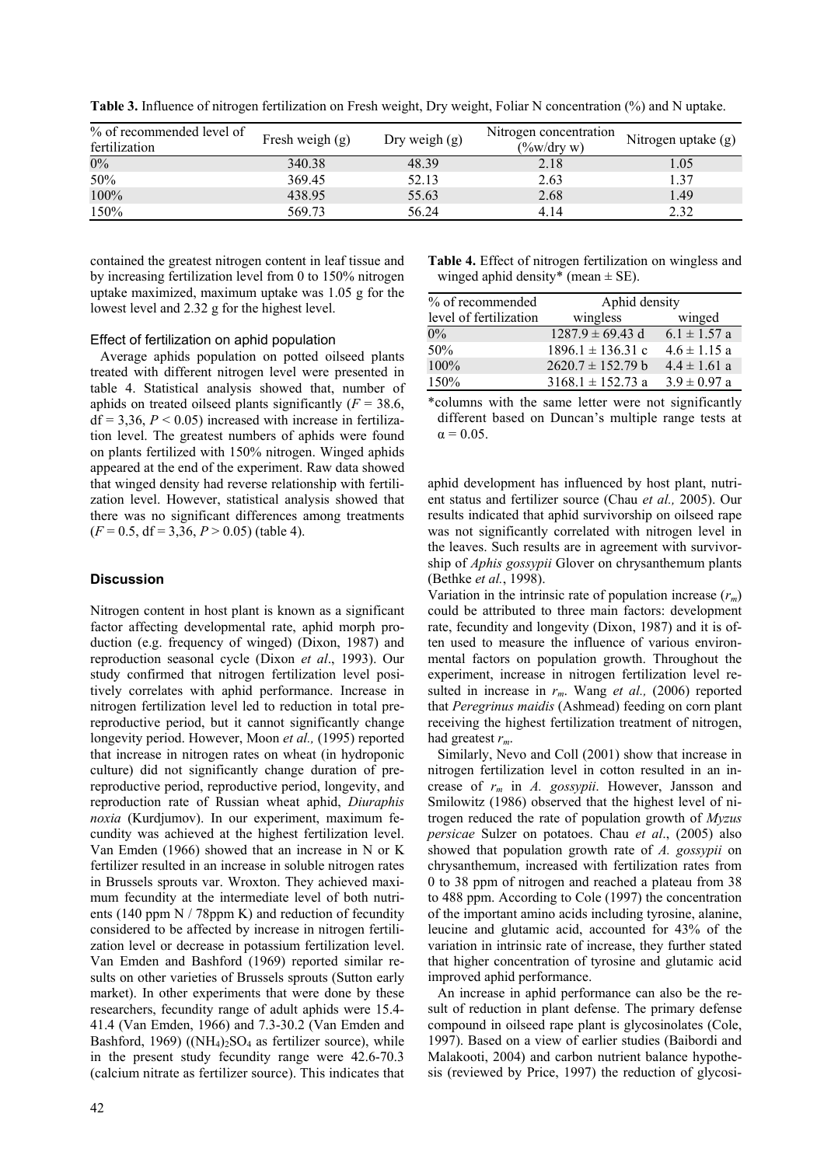| % of recommended level of<br>fertilization | Fresh weigh $(g)$ | Dry weigh $(g)$ | Nitrogen concentration<br>$(\frac{9}{6}w/dry w)$ | Nitrogen uptake (g) |
|--------------------------------------------|-------------------|-----------------|--------------------------------------------------|---------------------|
| $0\%$                                      | 340.38            | 48.39           | 2.18                                             | 1.05                |
| 50%                                        | 369.45            | 52.13           | 2.63                                             | 1.37                |
| 100%                                       | 438.95            | 55.63           | 2.68                                             | 1.49                |
| 150%                                       | 569.73            | 56.24           | 4.14                                             | 2.32                |

**Table 3.** Influence of nitrogen fertilization on Fresh weight, Dry weight, Foliar N concentration (%) and N uptake.

contained the greatest nitrogen content in leaf tissue and by increasing fertilization level from 0 to 150% nitrogen uptake maximized, maximum uptake was 1.05 g for the lowest level and 2.32 g for the highest level.

# Effect of fertilization on aphid population

Average aphids population on potted oilseed plants treated with different nitrogen level were presented in table 4. Statistical analysis showed that, number of aphids on treated oilseed plants significantly  $(F = 38.6,$  $df = 3.36$ ,  $P < 0.05$ ) increased with increase in fertilization level. The greatest numbers of aphids were found on plants fertilized with 150% nitrogen. Winged aphids appeared at the end of the experiment. Raw data showed that winged density had reverse relationship with fertilization level. However, statistical analysis showed that there was no significant differences among treatments  $(F = 0.5, df = 3,36, P > 0.05)$  (table 4).

# **Discussion**

Nitrogen content in host plant is known as a significant factor affecting developmental rate, aphid morph production (e.g. frequency of winged) (Dixon, 1987) and reproduction seasonal cycle (Dixon *et al*., 1993). Our study confirmed that nitrogen fertilization level positively correlates with aphid performance. Increase in nitrogen fertilization level led to reduction in total prereproductive period, but it cannot significantly change longevity period. However, Moon *et al.,* (1995) reported that increase in nitrogen rates on wheat (in hydroponic culture) did not significantly change duration of prereproductive period, reproductive period, longevity, and reproduction rate of Russian wheat aphid, *Diuraphis noxia* (Kurdjumov). In our experiment, maximum fecundity was achieved at the highest fertilization level. Van Emden (1966) showed that an increase in N or K fertilizer resulted in an increase in soluble nitrogen rates in Brussels sprouts var. Wroxton. They achieved maximum fecundity at the intermediate level of both nutrients (140 ppm N / 78ppm K) and reduction of fecundity considered to be affected by increase in nitrogen fertilization level or decrease in potassium fertilization level. Van Emden and Bashford (1969) reported similar results on other varieties of Brussels sprouts (Sutton early market). In other experiments that were done by these researchers, fecundity range of adult aphids were 15.4- 41.4 (Van Emden, 1966) and 7.3-30.2 (Van Emden and Bashford, 1969) ((NH<sub>4</sub>)<sub>2</sub>SO<sub>4</sub> as fertilizer source), while in the present study fecundity range were 42.6-70.3 (calcium nitrate as fertilizer source). This indicates that **Table 4.** Effect of nitrogen fertilization on wingless and winged aphid density\* (mean  $\pm$  SE).

| % of recommended       | Aphid density         |                  |  |
|------------------------|-----------------------|------------------|--|
| level of fertilization | wingless              | winged           |  |
| $0\%$                  | $1287.9 \pm 69.43$ d  | $6.1 \pm 1.57$ a |  |
| 50%                    | $1896.1 \pm 136.31$ c | $4.6 \pm 1.15$ a |  |
| $100\%$                | $2620.7 \pm 152.79 b$ | $4.4 \pm 1.61$ a |  |
| 150%                   | $3168.1 \pm 152.73$ a | $3.9 \pm 0.97$ a |  |

\*columns with the same letter were not significantly different based on Duncan's multiple range tests at  $\alpha = 0.05$ .

aphid development has influenced by host plant, nutrient status and fertilizer source (Chau *et al.,* 2005). Our results indicated that aphid survivorship on oilseed rape was not significantly correlated with nitrogen level in the leaves. Such results are in agreement with survivorship of *Aphis gossypii* Glover on chrysanthemum plants (Bethke *et al.*, 1998).

Variation in the intrinsic rate of population increase  $(r_m)$ could be attributed to three main factors: development rate, fecundity and longevity (Dixon, 1987) and it is often used to measure the influence of various environmental factors on population growth. Throughout the experiment, increase in nitrogen fertilization level resulted in increase in *rm*. Wang *et al.,* (2006) reported that *Peregrinus maidis* (Ashmead) feeding on corn plant receiving the highest fertilization treatment of nitrogen, had greatest *rm*.

Similarly, Nevo and Coll (2001) show that increase in nitrogen fertilization level in cotton resulted in an increase of *rm* in *A. gossypii*. However, Jansson and Smilowitz (1986) observed that the highest level of nitrogen reduced the rate of population growth of *Myzus persicae* Sulzer on potatoes. Chau *et al*., (2005) also showed that population growth rate of *A. gossypii* on chrysanthemum, increased with fertilization rates from 0 to 38 ppm of nitrogen and reached a plateau from 38 to 488 ppm. According to Cole (1997) the concentration of the important amino acids including tyrosine, alanine, leucine and glutamic acid, accounted for 43% of the variation in intrinsic rate of increase, they further stated that higher concentration of tyrosine and glutamic acid improved aphid performance.

An increase in aphid performance can also be the result of reduction in plant defense. The primary defense compound in oilseed rape plant is glycosinolates (Cole, 1997). Based on a view of earlier studies (Baibordi and Malakooti, 2004) and carbon nutrient balance hypothesis (reviewed by Price, 1997) the reduction of glycosi